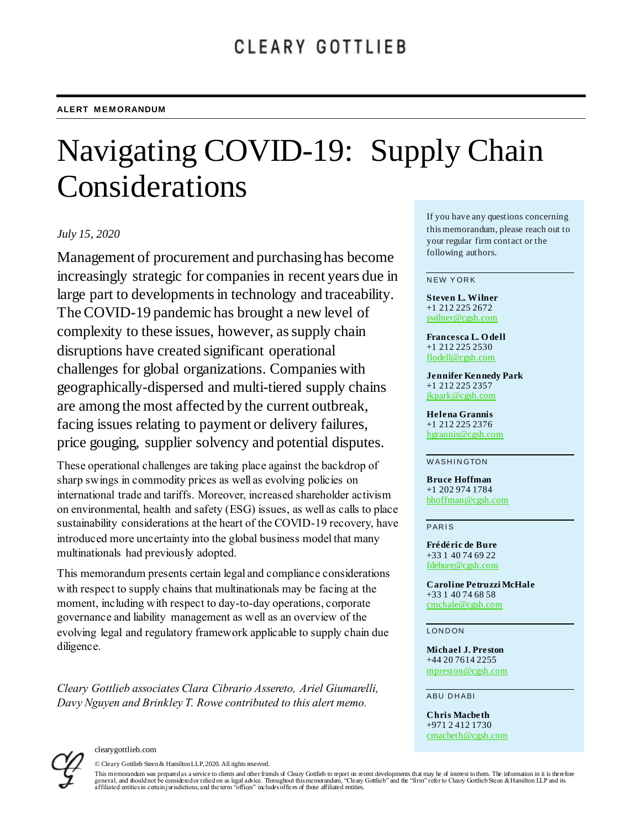# Navigating COVID-19: Supply Chain Considerations

#### *July 15, 2020*

Management of procurement and purchasing has become increasingly strategic for companies in recent years due in large part to developments in technology and traceability. The COVID-19 pandemic has brought a new level of complexity to these issues, however, as supply chain disruptions have created significant operational challenges for global organizations. Companies with geographically-dispersed and multi-tiered supply chains are among the most affected by the current outbreak, facing issues relating to payment or delivery failures, price gouging, supplier solvency and potential disputes.

These operational challenges are taking place against the backdrop of sharp swings in commodity prices as well as evolving policies on international trade and tariffs. Moreover, increased shareholder activism on environmental, health and safety (ESG) issues, as well as calls to place sustainability considerations at the heart of the COVID-19 recovery, have introduced more uncertainty into the global business model that many multinationals had previously adopted.

This memorandum presents certain legal and compliance considerations with respect to supply chains that multinationals may be facing at the moment, including with respect to day-to-day operations, corporate governance and liability management as well as an overview of the evolving legal and regulatory framework applicable to supply chain due diligence.

*Cleary Gottlieb associates Clara Cibrario Assereto, Ariel Giumarelli, Davy Nguyen and Brinkley T. Rowe contributed to this alert memo.*

If you have any questions concerning this memorandum, please reach out to your regular firm contact or the following authors.

#### **NEW YORK**

**Steven L. Wilner** +1 212 225 2672 [swilner@cgsh.com](mailto:swilner@cgsh.com)

**Francesca L. O dell** +1 212 225 2530 [flodell@cgsh.com](mailto:flodell@cgsh.com)

**Jennifer Kennedy Park** +1 212 225 2357 [jkpark@cgsh.com](mailto:jkpark@cgsh.com)

**Helena Grannis** +1 212 225 2376 [hgrannis@cgsh.com](mailto:hgrannis@cgsh.com)

#### **WASHINGTON**

**Bruce Hoffman** +1 202 974 1784 [bhoffman@cgsh.com](mailto:bhoffman@cgsh.com)

**PARIS** 

**Frédéric de Bure** +33 1 40 74 69 22 [fdebure@cgsh.com](mailto:fdebure@cgsh.com)

**Caroline Petruzzi McHale** +33 1 40 74 68 58 [cmchale@cgsh.com](mailto:cmchale@cgsh.com)

**LONDON** 

**Michael J. Preston** +44 20 7614 2255 [mpreston@cgsh.com](mailto:mpreston@cgsh.com)

**ABU DHABI** 

**Chris Macbeth** +971 2 412 1730 [cmacbeth@cgsh.com](mailto:cmacbeth@cgsh.com)



clearygottlieb.com

© Cleary Gottlieb Steen & Hamilton LLP, 2020. All rights reserved.

This memorandum was prepared as a service to clients and other friends of Cleary Gottlieb to report on recent developments that may be of interest to them. The information in it is there fore fore fore fore fore fore forel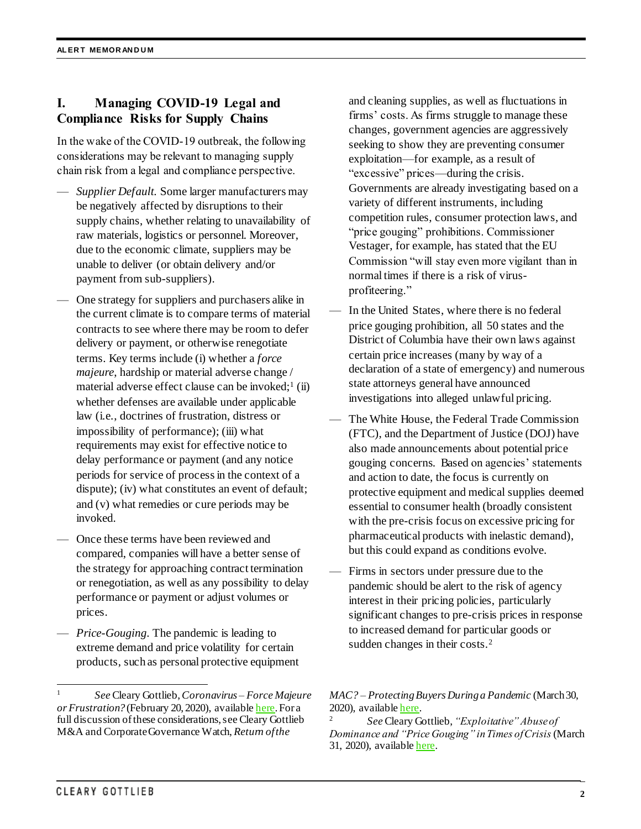# **I. Managing COVID-19 Legal and Compliance Risks for Supply Chains**

In the wake of the COVID-19 outbreak, the following considerations may be relevant to managing supply chain risk from a legal and compliance perspective.

- *Supplier Default.* Some larger manufacturers may be negatively affected by disruptions to their supply chains, whether relating to unavailability of raw materials, logistics or personnel. Moreover, due to the economic climate, suppliers may be unable to deliver (or obtain delivery and/or payment from sub-suppliers).
- One strategy for suppliers and purchasers alike in the current climate is to compare terms of material contracts to see where there may be room to defer delivery or payment, or otherwise renegotiate terms. Key terms include (i) whether a *force majeure*, hardship or material adverse change / material adverse effect clause can be invoked;<sup>1</sup> (ii) whether defenses are available under applicable law (i.e., doctrines of frustration, distress or impossibility of performance); (iii) what requirements may exist for effective notice to delay performance or payment (and any notice periods for service of process in the context of a dispute); (iv) what constitutes an event of default; and (v) what remedies or cure periods may be invoked.
- Once these terms have been reviewed and compared, companies will have a better sense of the strategy for approaching contract termination or renegotiation, as well as any possibility to delay performance or payment or adjust volumes or prices.
- *Price-Gouging*. The pandemic is leading to extreme demand and price volatility for certain products, such as personal protective equipment

and cleaning supplies, as well as fluctuations in firms' costs. As firms struggle to manage these changes, government agencies are aggressively seeking to show they are preventing consumer exploitation—for example, as a result of "excessive" prices—during the crisis. Governments are already investigating based on a variety of different instruments, including competition rules, consumer protection laws, and "price gouging" prohibitions. Commissioner Vestager, for example, has stated that the EU Commission "will stay even more vigilant than in normal times if there is a risk of virusprofiteering."

- In the United States, where there is no federal price gouging prohibition, all 50 states and the District of Columbia have their own laws against certain price increases (many by way of a declaration of a state of emergency) and numerous state attorneys general have announced investigations into alleged unlawful pricing.
- The White House, the Federal Trade Commission (FTC), and the Department of Justice (DOJ) have also made announcements about potential price gouging concerns. Based on agencies' statements and action to date, the focus is currently on protective equipment and medical supplies deemed essential to consumer health (broadly consistent with the pre-crisis focus on excessive pricing for pharmaceutical products with inelastic demand), but this could expand as conditions evolve.
- Firms in sectors under pressure due to the pandemic should be alert to the risk of agency interest in their pricing policies, particularly significant changes to pre-crisis prices in response to increased demand for particular goods or sudden changes in their costs.<sup>2</sup>

 $\overline{a}$ 

<sup>1</sup> *See* Cleary Gottlieb, *Coronavirus – Force Majeure or Frustration?* (February 20, 2020), availabl[e here](https://www.clearygottlieb.com/news-and-insights/publication-listing/coronavirus-force-majeure-or-frustration). For a full discussion of these considerations, see Cleary Gottlieb M&A and Corporate Governance Watch, *Return of the* 

*MAC? – Protecting Buyers During a Pandemic* (March 30, 2020), availabl[e here.](https://www.clearygottlieb.com/news-and-insights/publication-listing/return-of-the-mac-protecting-buyers-during-a-pandemic)

<sup>2</sup> *See* Cleary Gottlieb, *"Exploitative" Abuse of Dominance and "Price Gouging" in Times of Crisis*(March 31, 2020), availabl[e here.](https://www.clearygottlieb.com/news-and-insights/publication-listing/exploitative-abuse-of-dominance-and-price-gouging-in-times-of-crisis)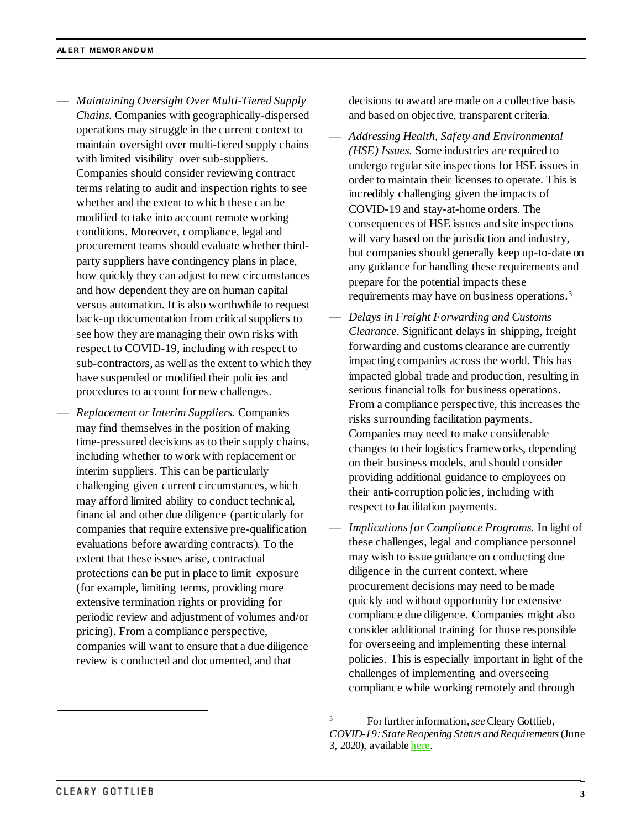- *Maintaining Oversight Over Multi-Tiered Supply Chains*. Companies with geographically-dispersed operations may struggle in the current context to maintain oversight over multi-tiered supply chains with limited visibility over sub-suppliers. Companies should consider reviewing contract terms relating to audit and inspection rights to see whether and the extent to which these can be modified to take into account remote working conditions. Moreover, compliance, legal and procurement teams should evaluate whether thirdparty suppliers have contingency plans in place, how quickly they can adjust to new circumstances and how dependent they are on human capital versus automation. It is also worthwhile to request back-up documentation from critical suppliers to see how they are managing their own risks with respect to COVID-19, including with respect to sub-contractors, as well as the extent to which they have suspended or modified their policies and procedures to account for new challenges.
- *Replacement or Interim Suppliers.* Companies may find themselves in the position of making time-pressured decisions as to their supply chains, including whether to work with replacement or interim suppliers. This can be particularly challenging given current circumstances, which may afford limited ability to conduct technical, financial and other due diligence (particularly for companies that require extensive pre-qualification evaluations before awarding contracts). To the extent that these issues arise, contractual protections can be put in place to limit exposure (for example, limiting terms, providing more extensive termination rights or providing for periodic review and adjustment of volumes and/or pricing). From a compliance perspective, companies will want to ensure that a due diligence review is conducted and documented, and that

decisions to award are made on a collective basis and based on objective, transparent criteria.

- *Addressing Health, Safety and Environmental (HSE) Issues*. Some industries are required to undergo regular site inspections for HSE issues in order to maintain their licenses to operate. This is incredibly challenging given the impacts of COVID-19 and stay-at-home orders. The consequences of HSE issues and site inspections will vary based on the jurisdiction and industry, but companies should generally keep up-to-date on any guidance for handling these requirements and prepare for the potential impacts these requirements may have on business operations.<sup>3</sup>
- *Delays in Freight Forwarding and Customs Clearance*. Significant delays in shipping, freight forwarding and customs clearance are currently impacting companies across the world. This has impacted global trade and production, resulting in serious financial tolls for business operations. From a compliance perspective, this increases the risks surrounding facilitation payments. Companies may need to make considerable changes to their logistics frameworks, depending on their business models, and should consider providing additional guidance to employees on their anti-corruption policies, including with respect to facilitation payments.
- *Implications for Compliance Programs.* In light of these challenges, legal and compliance personnel may wish to issue guidance on conducting due diligence in the current context, where procurement decisions may need to be made quickly and without opportunity for extensive compliance due diligence. Companies might also consider additional training for those responsible for overseeing and implementing these internal policies. This is especially important in light of the challenges of implementing and overseeing compliance while working remotely and through

<sup>3</sup> For further information, *see* Cleary Gottlieb, *COVID-19: State Reopening Status and Requirements*(June 3, 2020), availabl[e here.](https://www.clearygottlieb.com/news-and-insights/publication-listing/covid19-state-reopening-status-and-requirements)

 $\overline{a}$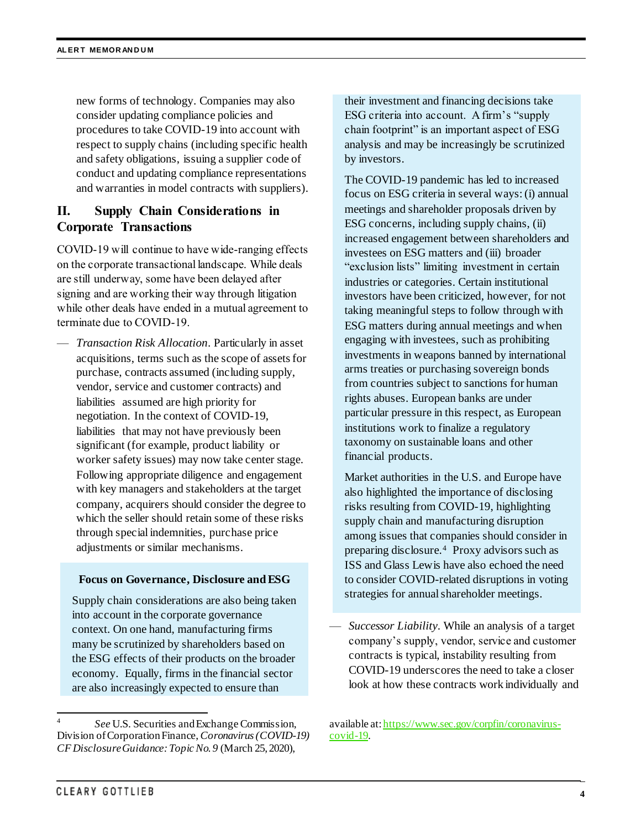new forms of technology. Companies may also consider updating compliance policies and procedures to take COVID-19 into account with respect to supply chains (including specific health and safety obligations, issuing a supplier code of conduct and updating compliance representations and warranties in model contracts with suppliers).

# **II. Supply Chain Considerations in Corporate Transactions**

COVID-19 will continue to have wide-ranging effects on the corporate transactional landscape. While deals are still underway, some have been delayed after signing and are working their way through litigation while other deals have ended in a mutual agreement to terminate due to COVID-19.

— *Transaction Risk Allocation*. Particularly in asset acquisitions, terms such as the scope of assets for purchase, contracts assumed (including supply, vendor, service and customer contracts) and liabilities assumed are high priority for negotiation. In the context of COVID-19, liabilities that may not have previously been significant (for example, product liability or worker safety issues) may now take center stage. Following appropriate diligence and engagement with key managers and stakeholders at the target company, acquirers should consider the degree to which the seller should retain some of these risks through special indemnities, purchase price adjustments or similar mechanisms.

#### **Focus on Governance, Disclosure and ESG**

Supply chain considerations are also being taken into account in the corporate governance context. On one hand, manufacturing firms many be scrutinized by shareholders based on the ESG effects of their products on the broader economy. Equally, firms in the financial sector are also increasingly expected to ensure than

their investment and financing decisions take ESG criteria into account. A firm's "supply chain footprint" is an important aspect of ESG analysis and may be increasingly be scrutinized by investors.

The COVID-19 pandemic has led to increased focus on ESG criteria in several ways: (i) annual meetings and shareholder proposals driven by ESG concerns, including supply chains, (ii) increased engagement between shareholders and investees on ESG matters and (iii) broader "exclusion lists" limiting investment in certain industries or categories. Certain institutional investors have been criticized, however, for not taking meaningful steps to follow through with ESG matters during annual meetings and when engaging with investees, such as prohibiting investments in weapons banned by international arms treaties or purchasing sovereign bonds from countries subject to sanctions for human rights abuses. European banks are under particular pressure in this respect, as European institutions work to finalize a regulatory taxonomy on sustainable loans and other financial products.

Market authorities in the U.S. and Europe have also highlighted the importance of disclosing risks resulting from COVID-19, highlighting supply chain and manufacturing disruption among issues that companies should consider in preparing disclosure.<sup>4</sup> Proxy advisors such as ISS and Glass Lewis have also echoed the need to consider COVID-related disruptions in voting strategies for annual shareholder meetings.

— *Successor Liability*. While an analysis of a target company's supply, vendor, service and customer contracts is typical, instability resulting from COVID-19 underscores the need to take a closer look at how these contracts work individually and

l 4 *See* U.S. Securities and Exchange Commission, Division of Corporation Finance, *Coronavirus (COVID-19) CF Disclosure Guidance: Topic No. 9* (March 25, 2020),

available at[: https://www.sec.gov/corpfin/coronavirus](https://www.sec.gov/corpfin/coronavirus-covid-19)[covid-19.](https://www.sec.gov/corpfin/coronavirus-covid-19)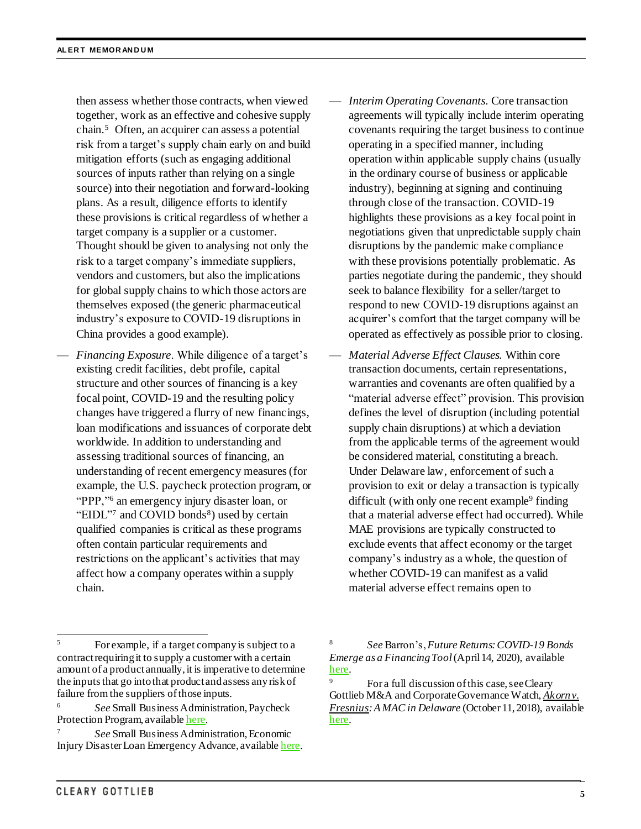then assess whether those contracts, when viewed together, work as an effective and cohesive supply chain.<sup>5</sup> Often, an acquirer can assess a potential risk from a target's supply chain early on and build mitigation efforts (such as engaging additional sources of inputs rather than relying on a single source) into their negotiation and forward-looking plans. As a result, diligence efforts to identify these provisions is critical regardless of whether a target company is a supplier or a customer. Thought should be given to analysing not only the risk to a target company's immediate suppliers, vendors and customers, but also the implications for global supply chains to which those actors are themselves exposed (the generic pharmaceutical industry's exposure to COVID-19 disruptions in China provides a good example).

- *Financing Exposure*. While diligence of a target's existing credit facilities, debt profile, capital structure and other sources of financing is a key focal point, COVID-19 and the resulting policy changes have triggered a flurry of new financings, loan modifications and issuances of corporate debt worldwide. In addition to understanding and assessing traditional sources of financing, an understanding of recent emergency measures (for example, the U.S. paycheck protection program, or "PPP,"<sup>6</sup> an emergency injury disaster loan, or "EIDL"7 and COVID bonds $8$ ) used by certain qualified companies is critical as these programs often contain particular requirements and restrictions on the applicant's activities that may affect how a company operates within a supply chain.
- *Interim Operating Covenants*. Core transaction agreements will typically include interim operating covenants requiring the target business to continue operating in a specified manner, including operation within applicable supply chains (usually in the ordinary course of business or applicable industry), beginning at signing and continuing through close of the transaction. COVID-19 highlights these provisions as a key focal point in negotiations given that unpredictable supply chain disruptions by the pandemic make compliance with these provisions potentially problematic. As parties negotiate during the pandemic, they should seek to balance flexibility for a seller/target to respond to new COVID-19 disruptions against an acquirer's comfort that the target company will be operated as effectively as possible prior to closing.
- *Material Adverse Effect Clauses.* Within core transaction documents, certain representations, warranties and covenants are often qualified by a "material adverse effect" provision. This provision defines the level of disruption (including potential supply chain disruptions) at which a deviation from the applicable terms of the agreement would be considered material, constituting a breach. Under Delaware law, enforcement of such a provision to exit or delay a transaction is typically difficult (with only one recent example<sup>9</sup> finding that a material adverse effect had occurred). While MAE provisions are typically constructed to exclude events that affect economy or the target company's industry as a whole, the question of whether COVID-19 can manifest as a valid material adverse effect remains open to

l <sup>5</sup> For example, if a target company is subject to a contract requiring it to supply a customer with a certain amount of a product annually, it is imperative to determine the inputs that go into that product and assess any risk of failure from the suppliers of those inputs.

<sup>6</sup> *See* Small Business Administration, Paycheck Protection Program, availabl[e here](https://www.sba.gov/funding-programs/loans/coronavirus-relief-options/paycheck-protection-program).

<sup>7</sup> *See* Small Business Administration, Economic Injury Disaster Loan Emergency Advance, availabl[e here](https://www.sba.gov/funding-programs/loans/coronavirus-relief-options/economic-injury-disaster-loan-emergency-advance).

<sup>8</sup> *See* Barron's, *Future Returns: COVID-19 Bonds Emerge as a Financing Tool*(April 14, 2020), available [here.](https://www.barrons.com/articles/future-returns-covid-19-bonds-emerge-as-a-financing-tool-01586881044)

<sup>&</sup>lt;sup>9</sup> For a full discussion of this case, see Cleary Gottlieb M&A and Corporate Governance Watch, *Akorn v. Fresnius: A MAC in Delaware* (October 11, 2018), available [here.](https://www.clearymawatch.com/2018/10/akorn-v-fresenius-mac-delaware/)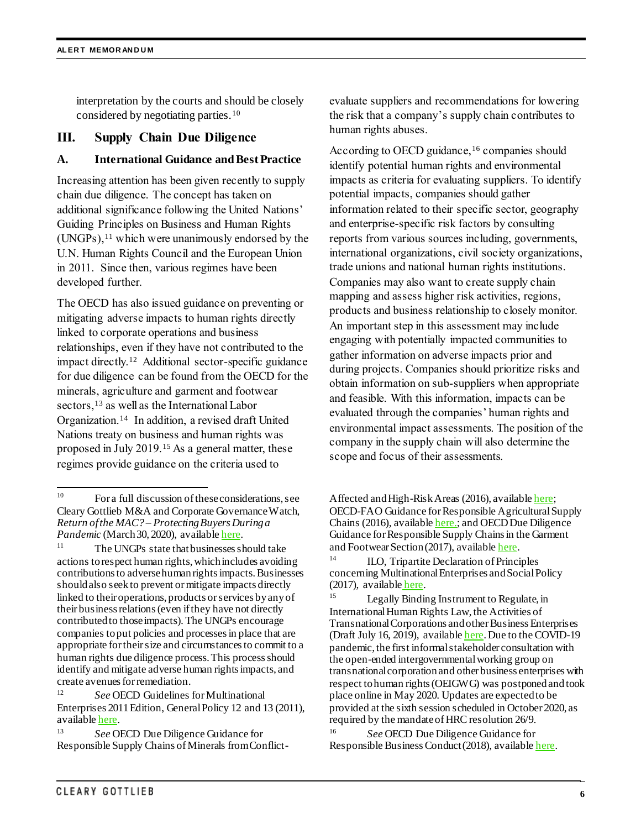interpretation by the courts and should be closely considered by negotiating parties.<sup>10</sup>

#### **III. Supply Chain Due Diligence**

#### **A. International Guidance and Best Practice**

Increasing attention has been given recently to supply chain due diligence. The concept has taken on additional significance following the United Nations' Guiding Principles on Business and Human Rights  $(UNGPs),<sup>11</sup>$  which were unanimously endorsed by the U.N. Human Rights Council and the European Union in 2011. Since then, various regimes have been developed further.

The OECD has also issued guidance on preventing or mitigating adverse impacts to human rights directly linked to corporate operations and business relationships, even if they have not contributed to the impact directly.<sup>12</sup> Additional sector-specific guidance for due diligence can be found from the OECD for the minerals, agriculture and garment and footwear sectors,<sup>13</sup> as well as the International Labor Organization.<sup>14</sup> In addition, a revised draft United Nations treaty on business and human rights was proposed in July 2019.<sup>15</sup> As a general matter, these regimes provide guidance on the criteria used to

evaluate suppliers and recommendations for lowering the risk that a company's supply chain contributes to human rights abuses.

According to OECD guidance,<sup>16</sup> companies should identify potential human rights and environmental impacts as criteria for evaluating suppliers. To identify potential impacts, companies should gather information related to their specific sector, geography and enterprise-specific risk factors by consulting reports from various sources including, governments, international organizations, civil society organizations, trade unions and national human rights institutions. Companies may also want to create supply chain mapping and assess higher risk activities, regions, products and business relationship to closely monitor. An important step in this assessment may include engaging with potentially impacted communities to gather information on adverse impacts prior and during projects. Companies should prioritize risks and obtain information on sub-suppliers when appropriate and feasible. With this information, impacts can be evaluated through the companies' human rights and environmental impact assessments. The position of the company in the supply chain will also determine the scope and focus of their assessments.

 $10\,$ For a full discussion of these considerations, see Cleary Gottlieb M&A and Corporate Governance Watch, *Return of the MAC? – Protecting Buyers During a Pandemic* (March 30, 2020), availabl[e here.](https://www.clearygottlieb.com/news-and-insights/publication-listing/return-of-the-mac-protecting-buyers-during-a-pandemic)

<sup>&</sup>lt;sup>11</sup> The UNGPs state that businesses should take actions to respect human rights, which includes avoiding contributions to adverse human rights impacts. Businesses should also seek to prevent or mitigate impacts directly linked to their operations, products or services by any of their business relations (even if they have not directly contributed to those impacts). The UNGPs encourage companies to put policies and processes in place that are appropriate for their size and circumstances to commit to a human rights due diligence process. This process should identify and mitigate adverse human rights impacts, and create avenues for remediation.

<sup>12</sup> *See* OECD Guidelines for Multinational Enterprises 2011 Edition, General Policy 12 and 13 (2011), availabl[e here](http://mneguidelines.oecd.org/guidelines).

<sup>13</sup> *See* OECD Due Diligence Guidance for Responsible Supply Chains of Minerals from Conflict-

Affected and High-Risk Areas (2016), availabl[e here;](https://www.oecd.org/daf/inv/mne/OECD-Due-Diligence-Guidance-Minerals-Edition3.pdf) OECD-FAO Guidance for Responsible Agricultural Supply Chains (2016), availabl[e here.;](https://www.oecd-ilibrary.org/docserver/9789264251052-en.pdf?expires=1589426511&id=id&accname=guest&checksum=8AD8B30CC2052B8886275AB0B6F16B9C) and OECD Due Diligence Guidance for Responsible Supply Chains in the Garment and Footwear Section (2017), availabl[e here](https://mneguidelines.oecd.org/OECD-Due-Diligence-Guidance-Garment-Footwear.pdf).

<sup>&</sup>lt;sup>14</sup> ILO, Tripartite Declaration of Principles concerning Multinational Enterprises and Social Policy (2017), available [here](https://www.ilo.org/wcmsp5/groups/public/---ed_emp/---emp_ent/---multi/documents/publication/wcms_094386.pdf).

<sup>&</sup>lt;sup>15</sup> Legally Binding Instrument to Regulate, in International Human Rights Law, the Activities of Transnational Corporations and other Business Enterprises (Draft July 16, 2019), availabl[e here](https://www.ohchr.org/Documents/HRBodies/HRCouncil/WGTransCorp/OEIGWG_RevisedDraft_LBI.pdf). Due to the COVID-19 pandemic, the first informal stakeholder consultation with the open-ended intergovernmental working group on transnational corporation and other business enterprises with respect to human rights (OEIGWG) was postponed and took place online in May 2020. Updates are expected to be provided at the sixth session scheduled in October 2020, as required by the mandate of HRC resolution 26/9.

<sup>16</sup> *See* OECD Due Diligence Guidance for Responsible Business Conduct (2018), availabl[e here](http://mneguidelines.oecd.org/OECD-Due-Diligence-Guidance-for-Responsible-Business-Conduct.pdf).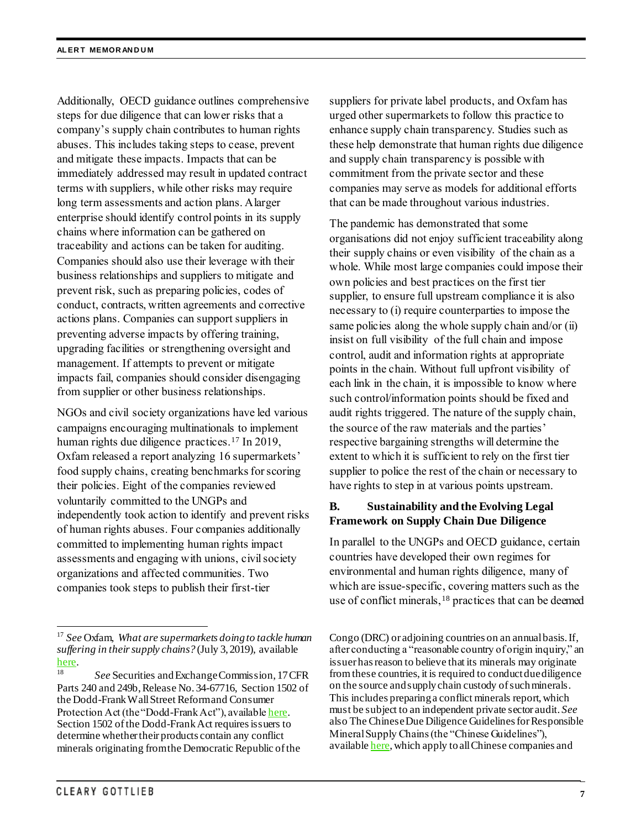Additionally, OECD guidance outlines comprehensive steps for due diligence that can lower risks that a company's supply chain contributes to human rights abuses. This includes taking steps to cease, prevent and mitigate these impacts. Impacts that can be immediately addressed may result in updated contract terms with suppliers, while other risks may require long term assessments and action plans. A larger enterprise should identify control points in its supply chains where information can be gathered on traceability and actions can be taken for auditing. Companies should also use their leverage with their business relationships and suppliers to mitigate and prevent risk, such as preparing policies, codes of conduct, contracts, written agreements and corrective actions plans. Companies can support suppliers in preventing adverse impacts by offering training, upgrading facilities or strengthening oversight and management. If attempts to prevent or mitigate impacts fail, companies should consider disengaging from supplier or other business relationships.

NGOs and civil society organizations have led various campaigns encouraging multinationals to implement human rights due diligence practices.<sup>17</sup> In 2019, Oxfam released a report analyzing 16 supermarkets' food supply chains, creating benchmarks for scoring their policies. Eight of the companies reviewed voluntarily committed to the UNGPs and independently took action to identify and prevent risks of human rights abuses. Four companies additionally committed to implementing human rights impact assessments and engaging with unions, civil society organizations and affected communities. Two companies took steps to publish their first-tier

suppliers for private label products, and Oxfam has urged other supermarkets to follow this practice to enhance supply chain transparency. Studies such as these help demonstrate that human rights due diligence and supply chain transparency is possible with commitment from the private sector and these companies may serve as models for additional efforts that can be made throughout various industries.

The pandemic has demonstrated that some organisations did not enjoy sufficient traceability along their supply chains or even visibility of the chain as a whole. While most large companies could impose their own policies and best practices on the first tier supplier, to ensure full upstream compliance it is also necessary to (i) require counterparties to impose the same policies along the whole supply chain and/or (ii) insist on full visibility of the full chain and impose control, audit and information rights at appropriate points in the chain. Without full upfront visibility of each link in the chain, it is impossible to know where such control/information points should be fixed and audit rights triggered. The nature of the supply chain, the source of the raw materials and the parties' respective bargaining strengths will determine the extent to which it is sufficient to rely on the first tier supplier to police the rest of the chain or necessary to have rights to step in at various points upstream.

## **B. Sustainability and the Evolving Legal Framework on Supply Chain Due Diligence**

In parallel to the UNGPs and OECD guidance, certain countries have developed their own regimes for environmental and human rights diligence, many of which are issue-specific, covering matters such as the use of conflict minerals,<sup>18</sup> practices that can be deemed

l

<sup>17</sup> *See* Oxfam, *What are supermarkets doing to tackle human suffering in their supply chains?* (July 3, 2019), available [here.](https://views-voices.oxfam.org.uk/2019/07/supermarkets-supply-chains/)

<sup>18</sup> *See* Securities and Exchange Commission, 17 CFR Parts 240 and 249b, Release No. 34-67716, Section 1502 of the Dodd-Frank Wall Street Reform and Consumer Protection Act (the "Dodd-Frank Act"), availabl[e here](https://www.sec.gov/rules/final/2012/34-67716.pdf). Section 1502 of the Dodd-Frank Act requires issuers to determine whether their products contain any conflict minerals originating from the Democratic Republic of the

Congo (DRC) or adjoining countries on an annual basis. If, after conducting a "reasonable country of origin inquiry," an issuer has reason to believe that its minerals may originate from these countries, it is required to conduct due diligence on the source and supply chain custody of such minerals. This includes preparing a conflict minerals report, which must be subject to an independent private sector audit. *See*  also The Chinese Due Diligence Guidelines for Responsible Mineral Supply Chains (the "Chinese Guidelines"), availabl[e here,](https://mneguidelines.oecd.org/chinese-due-diligence-guidelines-for-responsible-mineral-supply-chains.htm) which apply to all Chinese companies and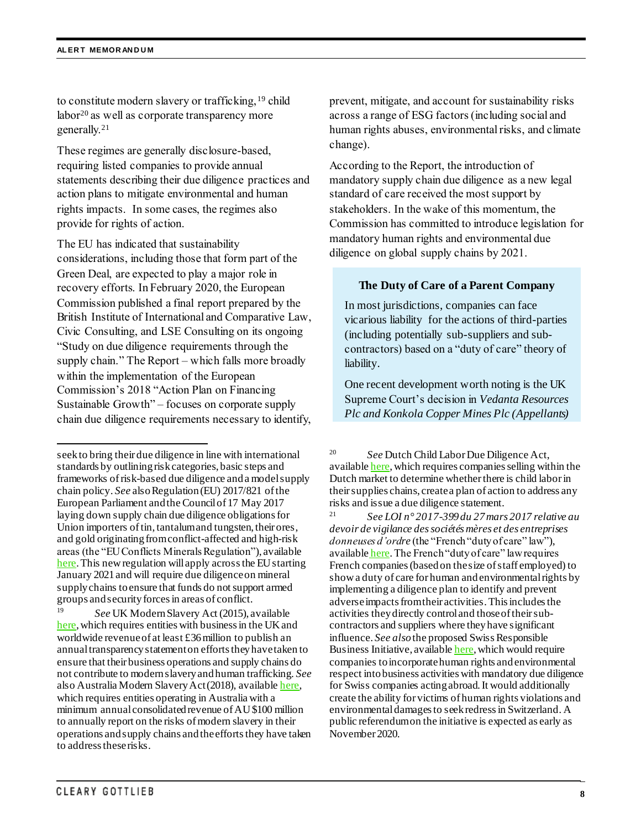to constitute modern slavery or trafficking,<sup>19</sup> child labor<sup>20</sup> as well as corporate transparency more generally.<sup>21</sup>

These regimes are generally disclosure-based, requiring listed companies to provide annual statements describing their due diligence practices and action plans to mitigate environmental and human rights impacts. In some cases, the regimes also provide for rights of action.

The EU has indicated that sustainability considerations, including those that form part of the Green Deal, are expected to play a major role in recovery efforts. In February 2020, the European Commission published a final report prepared by the British Institute of International and Comparative Law, Civic Consulting, and LSE Consulting on its ongoing "Study on due diligence requirements through the supply chain." The Report – which falls more broadly within the implementation of the European Commission's 2018 "Action Plan on Financing Sustainable Growth" – focuses on corporate supply chain due diligence requirements necessary to identify,

<sup>19</sup> *See* UK Modern Slavery Act (2015), availabl[e](http://www.legislation.gov.uk/ukpga/2015/30/contents/enacted) [here,](http://www.legislation.gov.uk/ukpga/2015/30/contents/enacted) which requires entities with business in the UK and worldwide revenue of at least £36 million to publish an annualtransparency statement on efforts they have taken to ensure that their business operations and supply chains do not contribute to modern slavery and human trafficking. *See*  also Australia Modern Slavery Act (2018), availabl[e here,](https://www.legislation.gov.au/Details/C2018A00153/Html/Text) which requires entities operating in Australia with a minimum annual consolidated revenue of AU \$100 million to annually report on the risks of modern slavery in their operations and supply chains and the efforts they have taken to address these risks.

prevent, mitigate, and account for sustainability risks across a range of ESG factors (including social and human rights abuses, environmental risks, and climate change).

According to the Report, the introduction of mandatory supply chain due diligence as a new legal standard of care received the most support by stakeholders. In the wake of this momentum, the Commission has committed to introduce legislation for mandatory human rights and environmental due diligence on global supply chains by 2021.

#### **The Duty of Care of a Parent Company**

In most jurisdictions, companies can face vicarious liability for the actions of third-parties (including potentially sub-suppliers and subcontractors) based on a "duty of care" theory of liability.

One recent development worth noting is the UK Supreme Court's decision in *Vedanta Resources Plc and Konkola Copper Mines Plc (Appellants)* 

 $\overline{a}$ 

seek to bring their due diligence in line with international standards by outlining risk categories, basic steps and frameworks of risk-based due diligence and a model supply chain policy. *See* also Regulation (EU) 2017/821 of the European Parliament and the Council of 17 May 2017 laying down supply chain due diligence obligations for Union importers of tin, tantalum and tungsten, their ores, and gold originating fromconflict-affected and high-risk areas (the "EU Conflicts Minerals Regulation"), available [here.](https://eur-lex.europa.eu/legal-content/EN/TXT/?uri=OJ:L:2017:130:TOC) This new regulation will apply across the EU starting January 2021 and will require due diligence on mineral supply chains to ensure that funds do not support armed groups and security forces in areas of conflict.

<sup>20</sup> *See* Dutch Child Labor Due Diligence Act, availabl[e here,](https://www.eerstekamer.nl/behandeling/20170207/gewijzigd_voorstel_van_wet/document3/f=/vkbkk8pud2zt.pdf) which requires companies selling within the Dutch market to determine whether there is child labor in their supplies chains, create a plan of action to address any risks and issue a due diligence statement.

<sup>21</sup> *See LOI n° 2017-399 du 27 mars 2017 relative au devoir de vigilance des sociétés mères et des entreprises donneuses d'ordre* (the "French "duty of care" law"), available [here.](https://www.legifrance.gouv.fr/affichTexte.do?cidTexte=JORFTEXT000034290626&categorieLien=id) The French "duty of care" law requires French companies (based on the size of staff employed) to show a duty of care for human and environmental rights by implementing a diligence plan to identify and prevent adverse impacts from their activities. This includes the activities they directly control and those of their subcontractors and suppliers where they have significant influence. *See also*the proposed Swiss Responsible Business Initiative, availabl[e here](https://corporatejustice.ch/about-the-initiative/), which would require companies to incorporate human rights and environmental respect into business activities with mandatory due diligence for Swiss companies acting abroad. It would additionally create the ability for victims of human rights violations and environmental damages to seek redress in Switzerland. A public referendum on the initiative is expected as early as November 2020.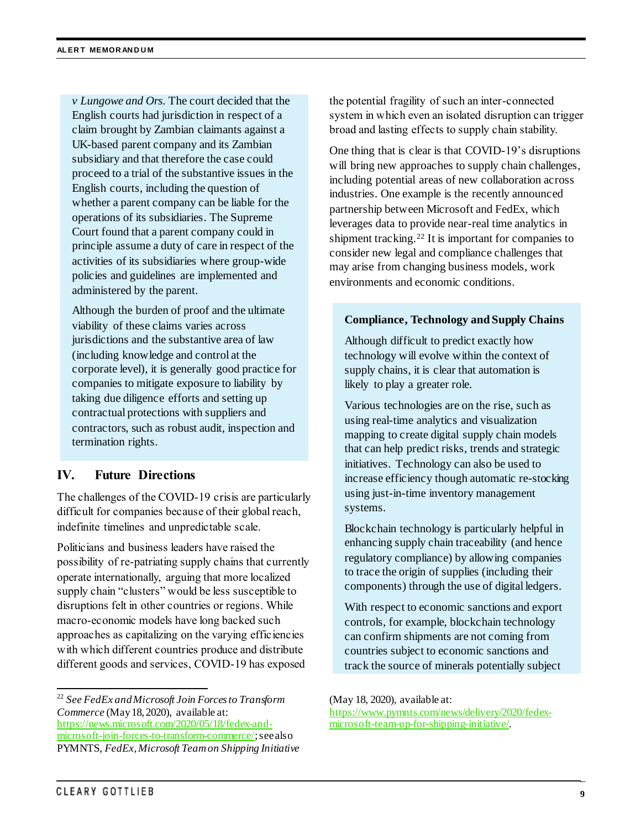*v Lungowe and Ors*. The court decided that the English courts had jurisdiction in respect of a claim brought by Zambian claimants against a UK-based parent company and its Zambian subsidiary and that therefore the case could proceed to a trial of the substantive issues in the English courts, including the question of whether a parent company can be liable for the operations of its subsidiaries. The Supreme Court found that a parent company could in principle assume a duty of care in respect of the activities of its subsidiaries where group-wide policies and guidelines are implemented and administered by the parent.

Although the burden of proof and the ultimate viability of these claims varies across jurisdictions and the substantive area of law (including knowledge and control at the corporate level), it is generally good practice for companies to mitigate exposure to liability by taking due diligence efforts and setting up contractual protections with suppliers and contractors, such as robust audit, inspection and termination rights.

## **IV. Future Directions**

The challenges of the COVID-19 crisis are particularly difficult for companies because of their global reach, indefinite timelines and unpredictable scale.

Politicians and business leaders have raised the possibility of re-patriating supply chains that currently operate internationally, arguing that more localized supply chain "clusters" would be less susceptible to disruptions felt in other countries or regions. While macro-economic models have long backed such approaches as capitalizing on the varying efficiencies with which different countries produce and distribute different goods and services, COVID-19 has exposed

the potential fragility of such an inter-connected system in which even an isolated disruption can trigger broad and lasting effects to supply chain stability.

One thing that is clear is that COVID-19's disruptions will bring new approaches to supply chain challenges, including potential areas of new collaboration across industries. One example is the recently announced partnership between Microsoft and FedEx, which leverages data to provide near-real time analytics in shipment tracking. <sup>22</sup> It is important for companies to consider new legal and compliance challenges that may arise from changing business models, work environments and economic conditions.

#### **Compliance, Technology and Supply Chains**

Although difficult to predict exactly how technology will evolve within the context of supply chains, it is clear that automation is likely to play a greater role.

Various technologies are on the rise, such as using real-time analytics and visualization mapping to create digital supply chain models that can help predict risks, trends and strategic initiatives. Technology can also be used to increase efficiency though automatic re-stocking using just-in-time inventory management systems.

Blockchain technology is particularly helpful in enhancing supply chain traceability (and hence regulatory compliance) by allowing companies to trace the origin of supplies (including their components) through the use of digital ledgers.

With respect to economic sanctions and export controls, for example, blockchain technology can confirm shipments are not coming from countries subject to economic sanctions and track the source of minerals potentially subject

[https://www.pymnts.com/news/delivery/2020/fedex](https://www.pymnts.com/news/delivery/2020/fedex-microsoft-team-up-for-shipping-initiative/)[microsoft-team-up-for-shipping-initiative/](https://www.pymnts.com/news/delivery/2020/fedex-microsoft-team-up-for-shipping-initiative/).

l <sup>22</sup> *See FedEx and Microsoft Join Forces to Transform Commerce* (May 18, 2020), available at: [https://news.microsoft.com/2020/05/18/fedex-and](https://news.microsoft.com/2020/05/18/fedex-and-microsoft-join-forces-to-transform-commerce/)[microsoft-join-forces-to-transform-commerce/](https://news.microsoft.com/2020/05/18/fedex-and-microsoft-join-forces-to-transform-commerce/); see also PYMNTS, *FedEx, Microsoft Team on Shipping Initiative*

<sup>(</sup>May 18, 2020), available at: